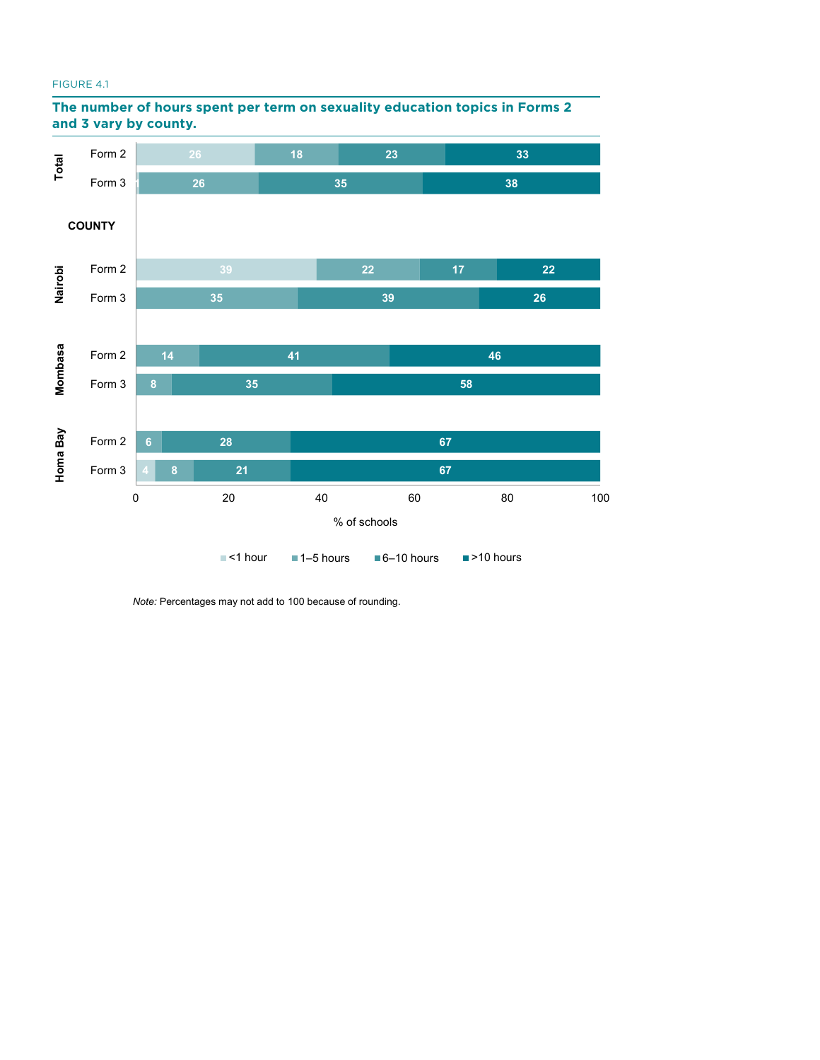#### **sexuality education topics in Forms 2 and 3 vary by**  FIGURE 4.1





*Note:* Percentages may not add to 100 because of rounding.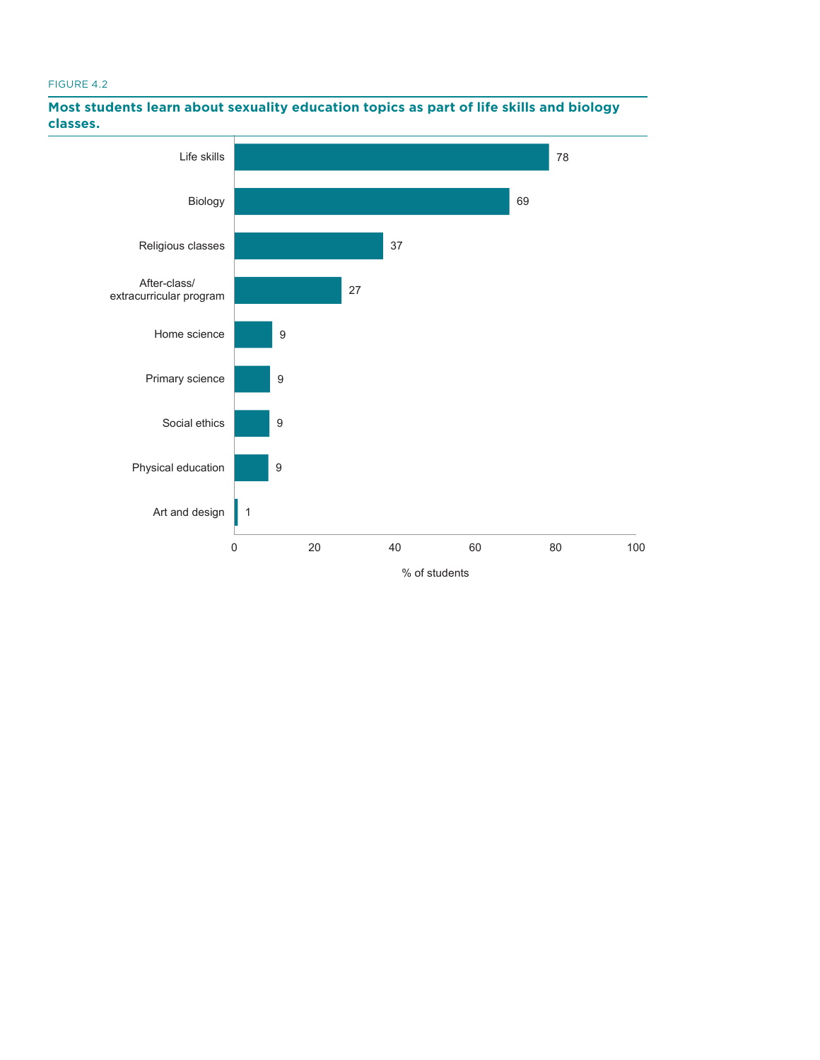# **topics as part of life skills and biology classes.** FIGURE 4.2



### **Most students learn about sexuality education topics as part of life skills and biology classes.**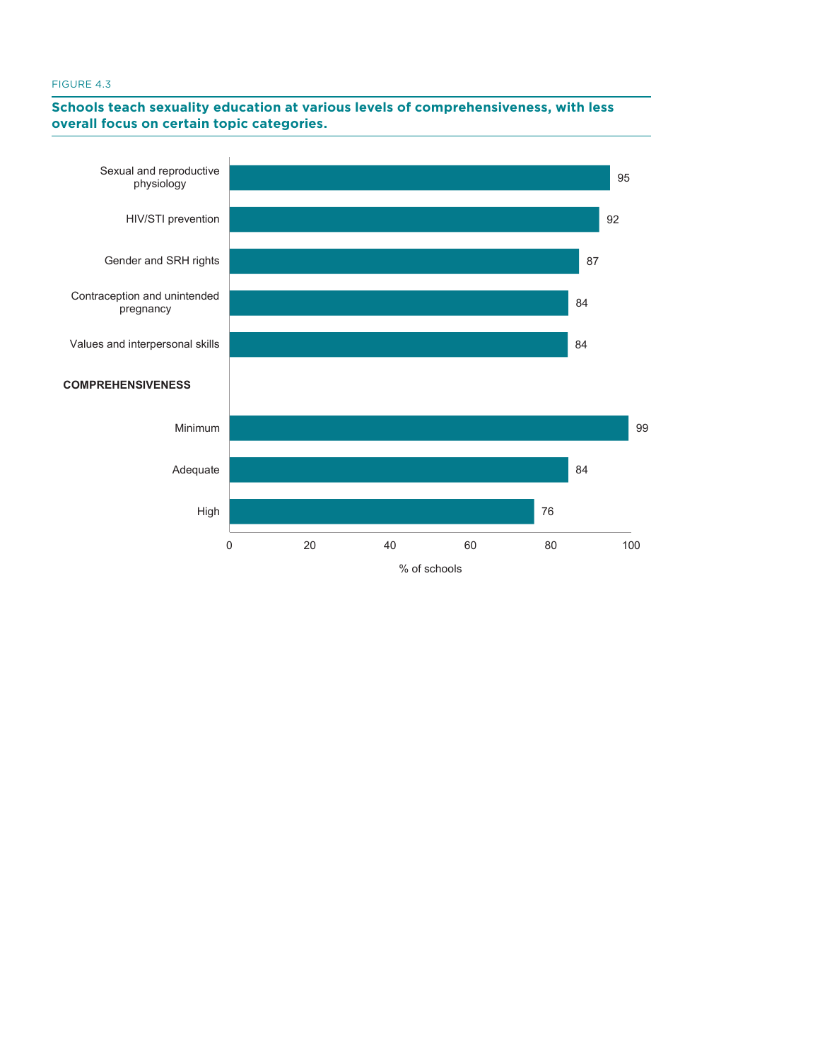# **Schools teach sexuality education at various levels of comprehensiveness, with less certain topic categories. overall focus on certain topic categories.**

**FIGURE 4.3. Schools teach sexuality education at various** 

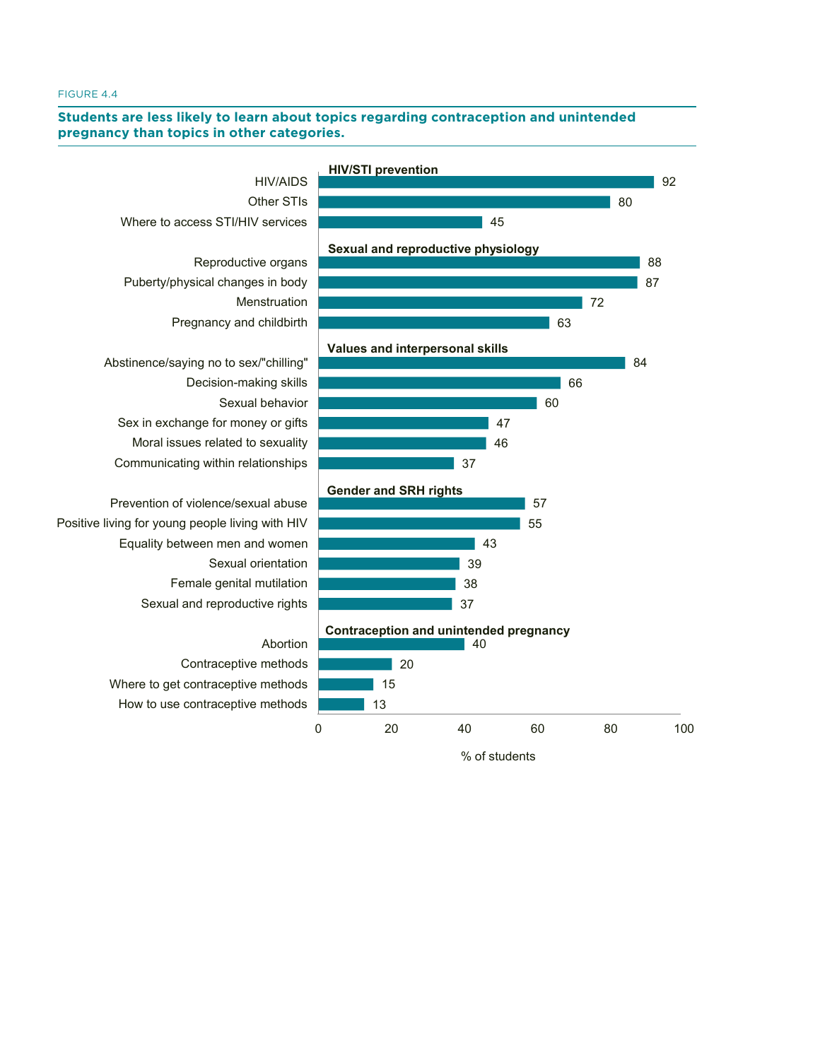# **FIGURE 4.4. Students are less likely to learn about topics**  Students are less likely to learn about topics regarding contraception and unintended<br>pregnancy than topics in other othersies

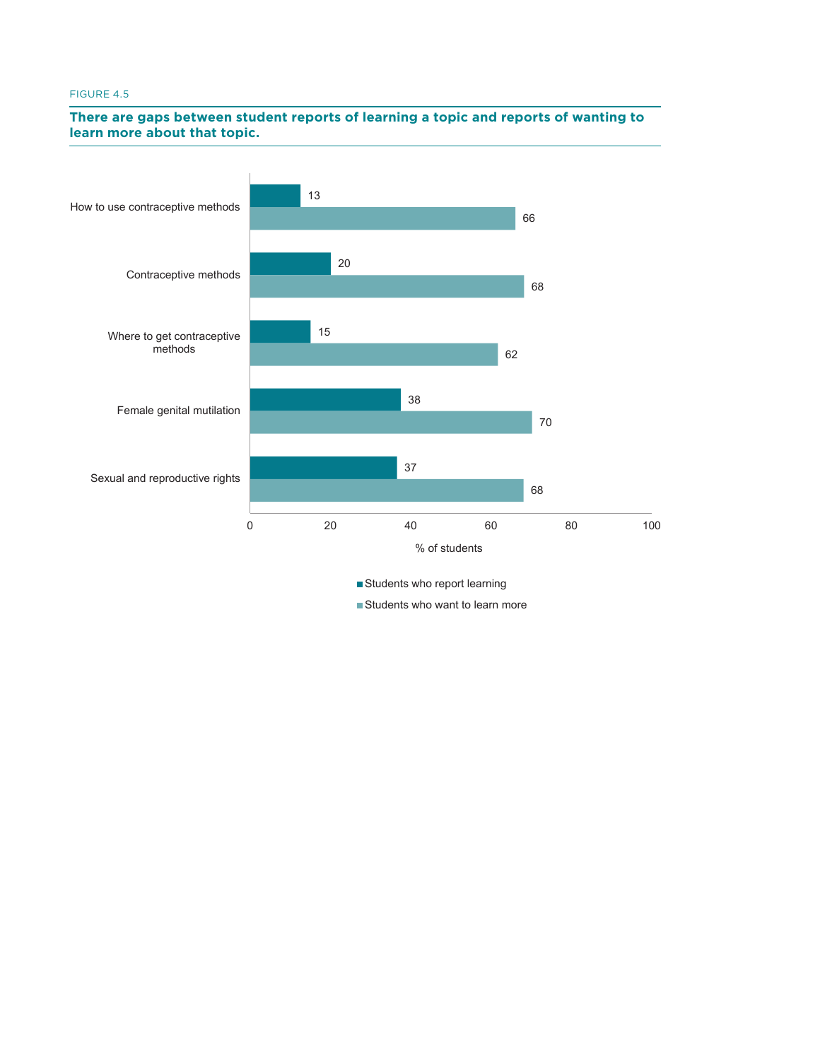# **FIGURE 4.5. There are gaps between student reports of**  There are gaps between student reports of learning a topic and reports of wanting to **state about that topic that topic. learn more about that topic.**



■ Students who want to learn more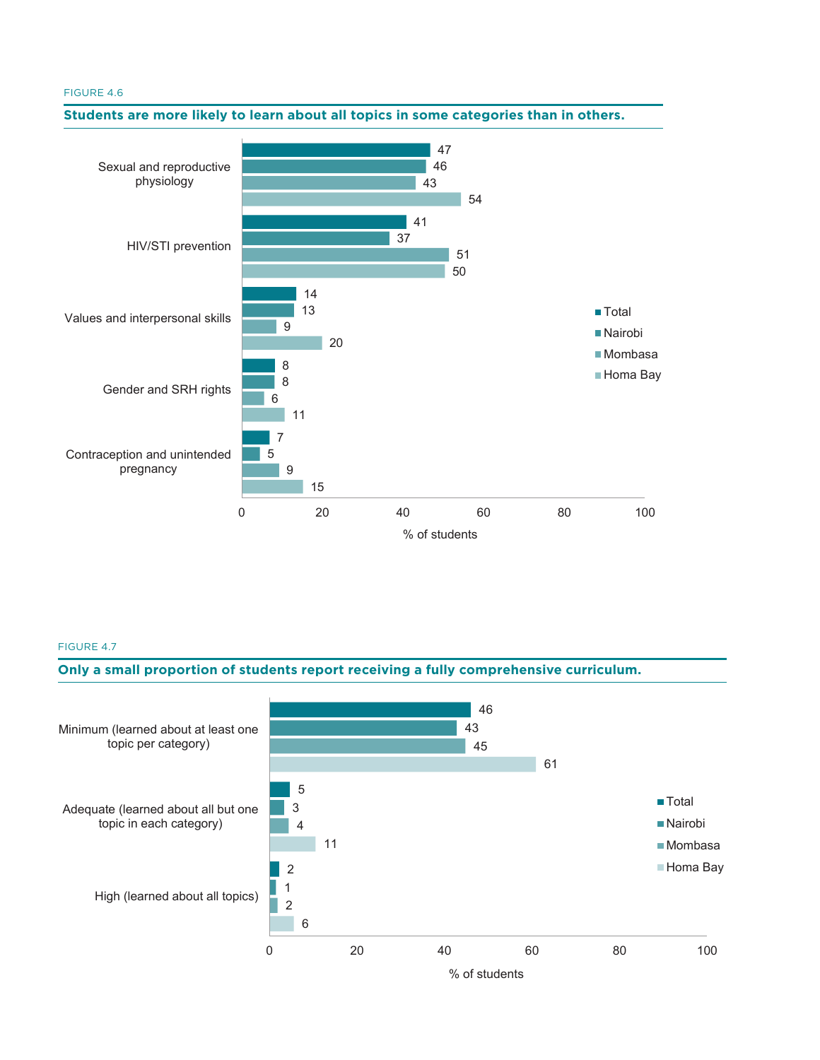

#### FIGURE 4.7



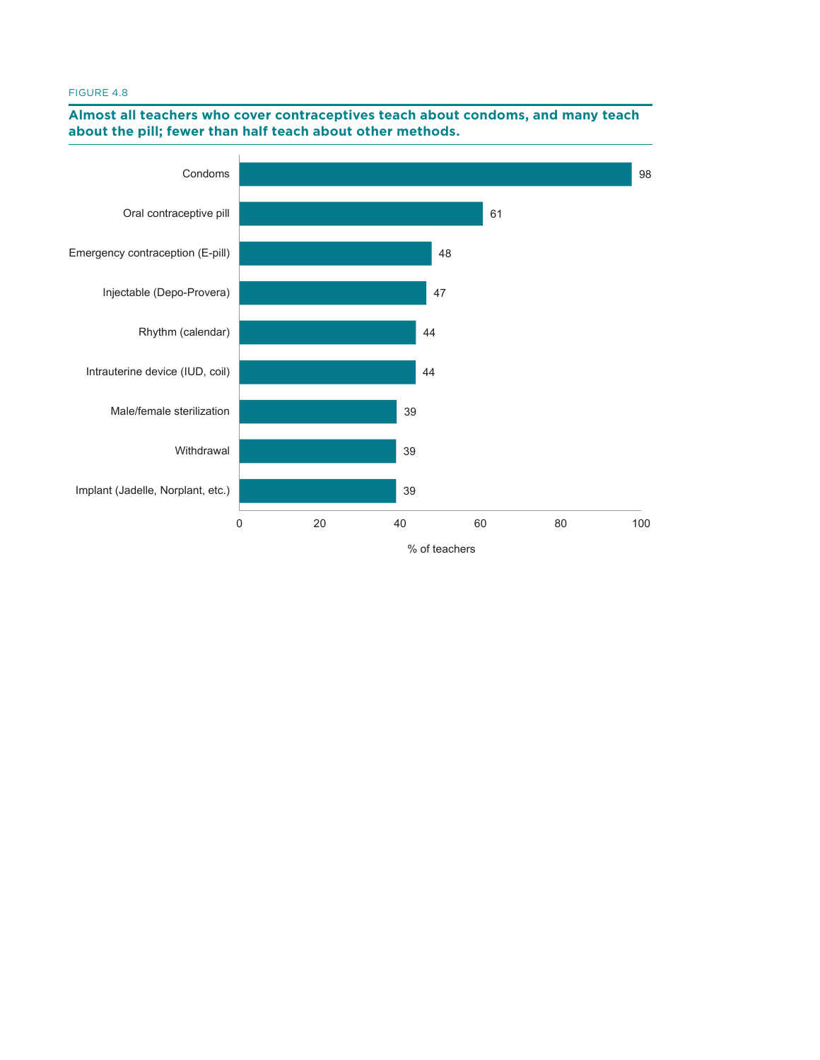#### **teach about condoms, and many teach about the pill;**  FIGURE 4.8



### **Almost all teachers who cover contraceptives teach about condoms, and many teach about the pill; fewer than half teach about other methods.**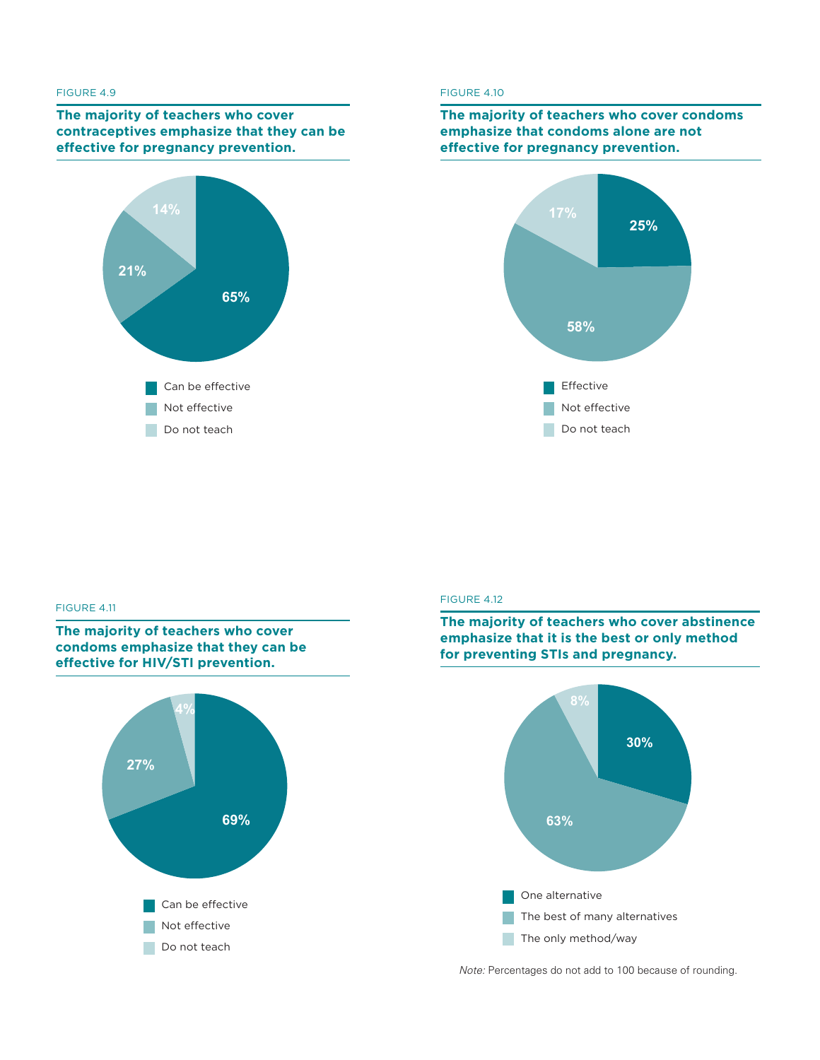#### **FIGURE 4.9. The majority of teachers who cover**  FIGURE 4.9

**contrace the majority of teachers who cover effectives** emphasize that they can be **effective for pregnancy prevention.**



# **FIGURE 4.10. The majority of teachers who**  FIGURE 4.10

### **cover condoms emphasize that condoms alone The majority of teachers who cover condoms emphasize that condoms alone are not effective for pregnancy prevention.**



#### **FIGURE 4.11** The majority of the majority of the majority of the majority of the majority of the majority of the majority of the majority of the majority of the majority of the majority of the majority of the majority of

**The majority of teachers who cover condoms emphasize that they can be effective for HIV/STI prevention.**



#### FIGURE 4.12 **FIGURE 4.12. The majority of teachers who**





*Note:* Percentages do not add to 100 because of rounding.